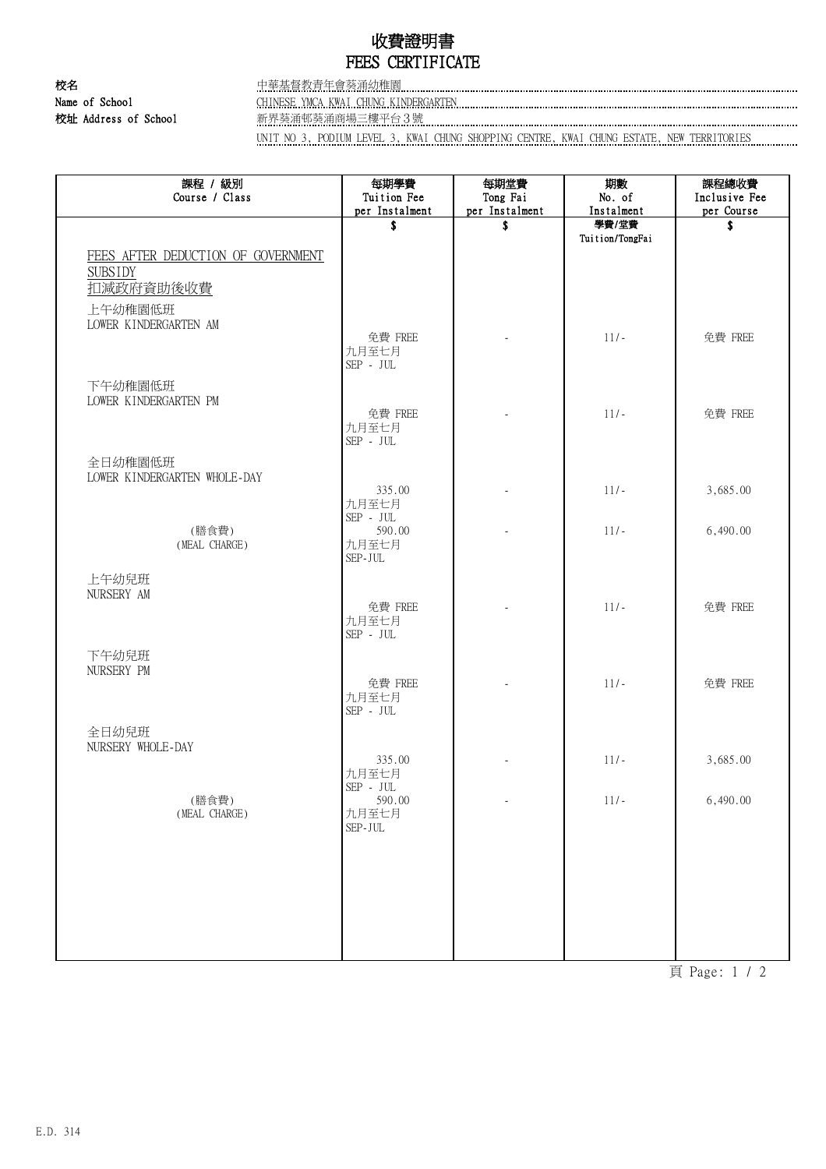## 收費證明書 FEES CERTIFICATE

校址 Address of School 新界葵涌邨葵涌商場三樓平台3號

校名 中華基督教青年會葵涌幼稚園 Name of School CHINESE YMCA KWAI CHUNG KINDERGARTEN

UNIT NO 3, PODIUM LEVEL 3, KWAI CHUNG SHOPPING CENTRE, KWAI CHUNG ESTATE, NEW TERRITORIES

| 課程 / 級別<br>Course / Class                            | 每期學費<br>Tuition Fee                             | 每期堂費<br>Tong Fai | 期數<br>No. of    | 課程總收費<br>Inclusive Fee |
|------------------------------------------------------|-------------------------------------------------|------------------|-----------------|------------------------|
|                                                      | per Instalment                                  | per Instalment   | Instalment      | per Course             |
|                                                      | \$                                              | \$               | 學費/堂費           | \$                     |
| FEES AFTER DEDUCTION OF GOVERNMENT<br><b>SUBSIDY</b> |                                                 |                  | Tuition/TongFai |                        |
| 扣减政府資助後收費                                            |                                                 |                  |                 |                        |
| 上午幼稚園低班<br>LOWER KINDERGARTEN AM                     |                                                 |                  |                 |                        |
|                                                      | 免費 FREE<br>九月至七月<br>$\mbox{SEP}$ - $\mbox{JUL}$ |                  | $11/-$          | 免費 FREE                |
| 下午幼稚園低班<br>LOWER KINDERGARTEN PM                     |                                                 |                  |                 |                        |
|                                                      | 免費 FREE<br>九月至七月<br>$\mbox{SEP}$ - $\mbox{JUL}$ |                  | $11/-$          | 免費 FREE                |
| 全日幼稚園低班                                              |                                                 |                  |                 |                        |
| LOWER KINDERGARTEN WHOLE-DAY                         | 335.00                                          |                  | $11/-$          | 3,685.00               |
| (膳食費)                                                | 九月至七月<br>$\mbox{SEP}$ - $\mbox{JUL}$<br>590.00  |                  | $11/-$          | 6,490.00               |
| (MEAL CHARGE)                                        | 九月至七月<br>$\mbox{SEP-JUL}$                       |                  |                 |                        |
| 上午幼兒班                                                |                                                 |                  |                 |                        |
| NURSERY AM                                           | 免費 FREE<br>九月至七月<br>$\mbox{SEP}$ - $\mbox{JUL}$ |                  | $11/-$          | 免費 FREE                |
| 下午幼兒班                                                |                                                 |                  |                 |                        |
| NURSERY PM                                           | 免費 FREE<br>九月至七月<br>$\mbox{SEP}$ - $\mbox{JUL}$ |                  | $11/-$          | 免費 FREE                |
| 全日幼兒班                                                |                                                 |                  |                 |                        |
| NURSERY WHOLE-DAY                                    | 335.00                                          |                  | $11/-$          | 3,685.00               |
| (膳食費)                                                | 九月至七月<br>$\mbox{SEP}$ - $\mbox{JUL}$<br>590.00  | ä,               | $11/-$          | 6,490.00               |
| (MEAL CHARGE)                                        | 九月至七月<br>$\mbox{SEP-JUL}$                       |                  |                 |                        |
|                                                      |                                                 |                  |                 |                        |
|                                                      |                                                 |                  |                 |                        |
|                                                      |                                                 |                  |                 |                        |
|                                                      |                                                 |                  |                 |                        |

頁 Page: 1 / 2